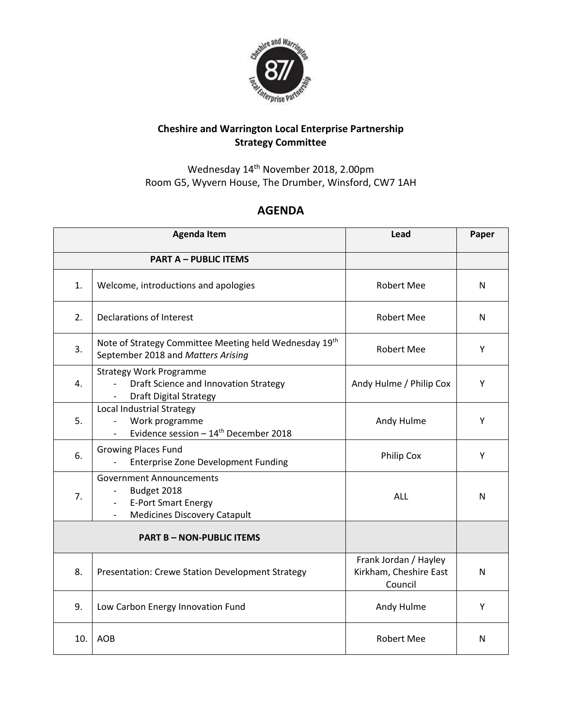

## **Cheshire and Warrington Local Enterprise Partnership Strategy Committee**

Wednesday 14th November 2018, 2.00pm Room G5, Wyvern House, The Drumber, Winsford, CW7 1AH

## **AGENDA**

|                                  | <b>Agenda Item</b>                                                                                                          | Lead                                                       | Paper |
|----------------------------------|-----------------------------------------------------------------------------------------------------------------------------|------------------------------------------------------------|-------|
| <b>PART A - PUBLIC ITEMS</b>     |                                                                                                                             |                                                            |       |
| 1.                               | Welcome, introductions and apologies                                                                                        | <b>Robert Mee</b>                                          | N     |
| 2.                               | Declarations of Interest                                                                                                    | <b>Robert Mee</b>                                          | N     |
| 3.                               | Note of Strategy Committee Meeting held Wednesday 19th<br>September 2018 and Matters Arising                                | <b>Robert Mee</b>                                          | Y     |
| 4.                               | <b>Strategy Work Programme</b><br>Draft Science and Innovation Strategy<br><b>Draft Digital Strategy</b>                    | Andy Hulme / Philip Cox                                    | Y     |
| 5.                               | Local Industrial Strategy<br>Work programme<br>$\overline{\phantom{a}}$<br>Evidence session $-14^{\text{th}}$ December 2018 | Andy Hulme                                                 | Υ     |
| 6.                               | <b>Growing Places Fund</b><br><b>Enterprise Zone Development Funding</b>                                                    | Philip Cox                                                 | Y     |
| 7.                               | <b>Government Announcements</b><br>Budget 2018<br><b>E-Port Smart Energy</b><br><b>Medicines Discovery Catapult</b>         | ALL                                                        | N     |
| <b>PART B - NON-PUBLIC ITEMS</b> |                                                                                                                             |                                                            |       |
| 8.                               | Presentation: Crewe Station Development Strategy                                                                            | Frank Jordan / Hayley<br>Kirkham, Cheshire East<br>Council | N     |
| 9.                               | Low Carbon Energy Innovation Fund                                                                                           | Andy Hulme                                                 | Y     |
| 10.                              | <b>AOB</b>                                                                                                                  | <b>Robert Mee</b>                                          | N     |